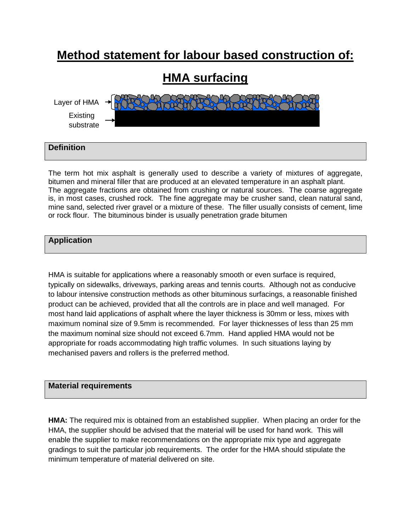# **Method statement for labour based construction of:**

## **HMA surfacing**

Layer of HMA

Existing substrate

## **Definition**

The term hot mix asphalt is generally used to describe a variety of mixtures of aggregate, bitumen and mineral filler that are produced at an elevated temperature in an asphalt plant. The aggregate fractions are obtained from crushing or natural sources. The coarse aggregate is, in most cases, crushed rock. The fine aggregate may be crusher sand, clean natural sand, mine sand, selected river gravel or a mixture of these. The filler usually consists of cement, lime or rock flour. The bituminous binder is usually penetration grade bitumen

## **Application**

HMA is suitable for applications where a reasonably smooth or even surface is required, typically on sidewalks, driveways, parking areas and tennis courts. Although not as conducive to labour intensive construction methods as other bituminous surfacings, a reasonable finished product can be achieved, provided that all the controls are in place and well managed. For most hand laid applications of asphalt where the layer thickness is 30mm or less, mixes with maximum nominal size of 9.5mm is recommended. For layer thicknesses of less than 25 mm the maximum nominal size should not exceed 6.7mm. Hand applied HMA would not be appropriate for roads accommodating high traffic volumes. In such situations laying by mechanised pavers and rollers is the preferred method.

#### **Material requirements**

**HMA:** The required mix is obtained from an established supplier. When placing an order for the HMA, the supplier should be advised that the material will be used for hand work. This will enable the supplier to make recommendations on the appropriate mix type and aggregate gradings to suit the particular job requirements. The order for the HMA should stipulate the minimum temperature of material delivered on site.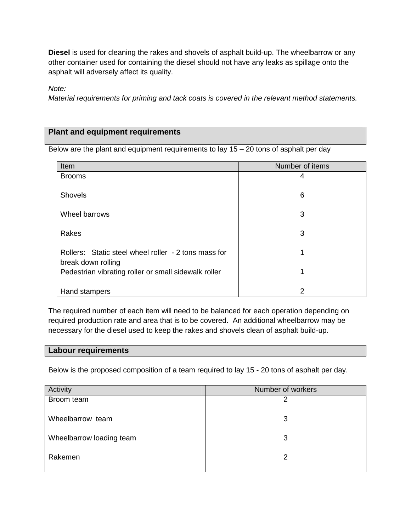**Diesel** is used for cleaning the rakes and shovels of asphalt build-up. The wheelbarrow or any other container used for containing the diesel should not have any leaks as spillage onto the asphalt will adversely affect its quality.

Note:

Material requirements for priming and tack coats is covered in the relevant method statements.

## **Plant and equipment requirements**

Below are the plant and equipment requirements to lay  $15 - 20$  tons of asphalt per day

| Item                                                                       | Number of items |
|----------------------------------------------------------------------------|-----------------|
| <b>Brooms</b>                                                              | 4               |
| <b>Shovels</b>                                                             | 6               |
| Wheel barrows                                                              | 3               |
| Rakes                                                                      | 3               |
| Rollers: Static steel wheel roller - 2 tons mass for<br>break down rolling | 1               |
| Pedestrian vibrating roller or small sidewalk roller                       | 1               |
| Hand stampers                                                              | 2               |

The required number of each item will need to be balanced for each operation depending on required production rate and area that is to be covered. An additional wheelbarrow may be necessary for the diesel used to keep the rakes and shovels clean of asphalt build-up.

#### **Labour requirements**

Below is the proposed composition of a team required to lay 15 - 20 tons of asphalt per day.

| Activity                 | Number of workers |
|--------------------------|-------------------|
| Broom team               | 2                 |
| Wheelbarrow team         | 3                 |
| Wheelbarrow loading team | 3                 |
| Rakemen                  | 2                 |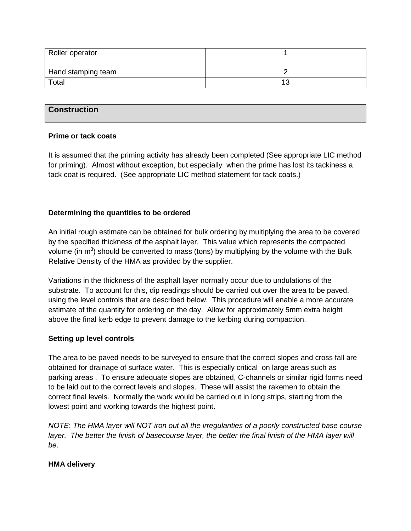| Roller operator    |    |
|--------------------|----|
| Hand stamping team |    |
| Total              | 13 |

## **Construction**

#### **Prime or tack coats**

It is assumed that the priming activity has already been completed (See appropriate LIC method for priming). Almost without exception, but especially when the prime has lost its tackiness a tack coat is required. (See appropriate LIC method statement for tack coats.)

#### **Determining the quantities to be ordered**

An initial rough estimate can be obtained for bulk ordering by multiplying the area to be covered by the specified thickness of the asphalt layer. This value which represents the compacted volume (in  $m^3$ ) should be converted to mass (tons) by multiplying by the volume with the Bulk Relative Density of the HMA as provided by the supplier.

Variations in the thickness of the asphalt layer normally occur due to undulations of the substrate. To account for this, dip readings should be carried out over the area to be paved, using the level controls that are described below. This procedure will enable a more accurate estimate of the quantity for ordering on the day. Allow for approximately 5mm extra height above the final kerb edge to prevent damage to the kerbing during compaction.

#### **Setting up level controls**

The area to be paved needs to be surveyed to ensure that the correct slopes and cross fall are obtained for drainage of surface water. This is especially critical on large areas such as parking areas . To ensure adequate slopes are obtained, C-channels or similar rigid forms need to be laid out to the correct levels and slopes. These will assist the rakemen to obtain the correct final levels. Normally the work would be carried out in long strips, starting from the lowest point and working towards the highest point.

NOTE: The HMA layer will NOT iron out all the irregularities of a poorly constructed base course layer. The better the finish of basecourse layer, the better the final finish of the HMA layer will be.

#### **HMA delivery**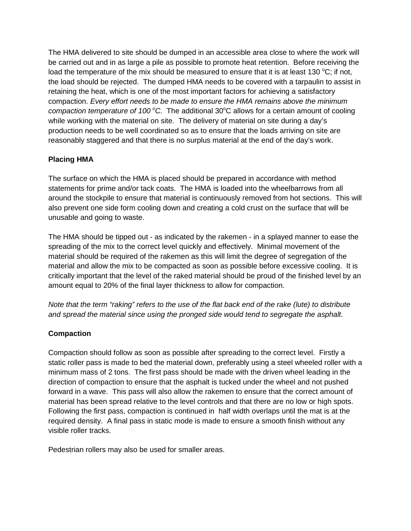The HMA delivered to site should be dumped in an accessible area close to where the work will be carried out and in as large a pile as possible to promote heat retention. Before receiving the load the temperature of the mix should be measured to ensure that it is at least 130  $^{\circ}$ C; if not, the load should be rejected. The dumped HMA needs to be covered with a tarpaulin to assist in retaining the heat, which is one of the most important factors for achieving a satisfactory compaction. Every effort needs to be made to ensure the HMA remains above the minimum compaction temperature of 100 $^{\circ}$ C. The additional 30 $^{\circ}$ C allows for a certain amount of cooling while working with the material on site. The delivery of material on site during a day's production needs to be well coordinated so as to ensure that the loads arriving on site are reasonably staggered and that there is no surplus material at the end of the day's work.

## **Placing HMA**

The surface on which the HMA is placed should be prepared in accordance with method statements for prime and/or tack coats. The HMA is loaded into the wheelbarrows from all around the stockpile to ensure that material is continuously removed from hot sections. This will also prevent one side form cooling down and creating a cold crust on the surface that will be unusable and going to waste.

The HMA should be tipped out - as indicated by the rakemen - in a splayed manner to ease the spreading of the mix to the correct level quickly and effectively. Minimal movement of the material should be required of the rakemen as this will limit the degree of segregation of the material and allow the mix to be compacted as soon as possible before excessive cooling. It is critically important that the level of the raked material should be proud of the finished level by an amount equal to 20% of the final layer thickness to allow for compaction.

Note that the term "raking" refers to the use of the flat back end of the rake (lute) to distribute and spread the material since using the pronged side would tend to segregate the asphalt.

## **Compaction**

Compaction should follow as soon as possible after spreading to the correct level. Firstly a static roller pass is made to bed the material down, preferably using a steel wheeled roller with a minimum mass of 2 tons. The first pass should be made with the driven wheel leading in the direction of compaction to ensure that the asphalt is tucked under the wheel and not pushed forward in a wave. This pass will also allow the rakemen to ensure that the correct amount of material has been spread relative to the level controls and that there are no low or high spots. Following the first pass, compaction is continued in half width overlaps until the mat is at the required density. A final pass in static mode is made to ensure a smooth finish without any visible roller tracks.

Pedestrian rollers may also be used for smaller areas.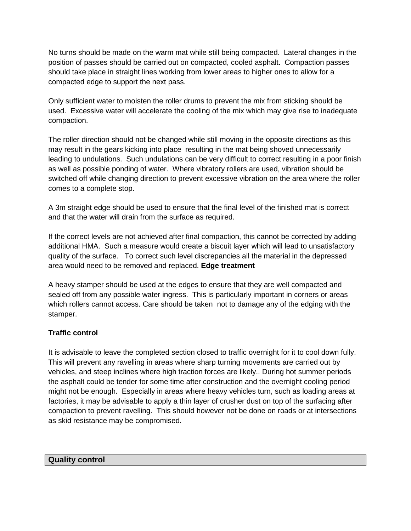No turns should be made on the warm mat while still being compacted. Lateral changes in the position of passes should be carried out on compacted, cooled asphalt. Compaction passes should take place in straight lines working from lower areas to higher ones to allow for a compacted edge to support the next pass.

Only sufficient water to moisten the roller drums to prevent the mix from sticking should be used. Excessive water will accelerate the cooling of the mix which may give rise to inadequate compaction.

The roller direction should not be changed while still moving in the opposite directions as this may result in the gears kicking into place resulting in the mat being shoved unnecessarily leading to undulations. Such undulations can be very difficult to correct resulting in a poor finish as well as possible ponding of water. Where vibratory rollers are used, vibration should be switched off while changing direction to prevent excessive vibration on the area where the roller comes to a complete stop.

A 3m straight edge should be used to ensure that the final level of the finished mat is correct and that the water will drain from the surface as required.

If the correct levels are not achieved after final compaction, this cannot be corrected by adding additional HMA. Such a measure would create a biscuit layer which will lead to unsatisfactory quality of the surface. To correct such level discrepancies all the material in the depressed area would need to be removed and replaced. **Edge treatment** 

A heavy stamper should be used at the edges to ensure that they are well compacted and sealed off from any possible water ingress. This is particularly important in corners or areas which rollers cannot access. Care should be taken not to damage any of the edging with the stamper.

## **Traffic control**

It is advisable to leave the completed section closed to traffic overnight for it to cool down fully. This will prevent any ravelling in areas where sharp turning movements are carried out by vehicles, and steep inclines where high traction forces are likely.. During hot summer periods the asphalt could be tender for some time after construction and the overnight cooling period might not be enough. Especially in areas where heavy vehicles turn, such as loading areas at factories, it may be advisable to apply a thin layer of crusher dust on top of the surfacing after compaction to prevent ravelling. This should however not be done on roads or at intersections as skid resistance may be compromised.

#### **Quality control**